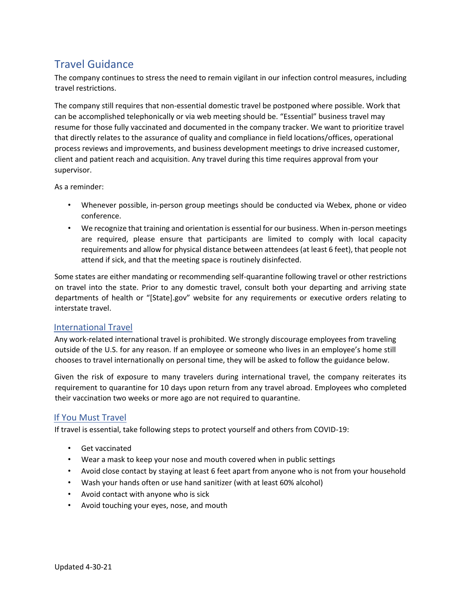# Travel Guidance

The company continues to stress the need to remain vigilant in our infection control measures, including travel restrictions.

The company still requires that non-essential domestic travel be postponed where possible. Work that can be accomplished telephonically or via web meeting should be. "Essential" business travel may resume for those fully vaccinated and documented in the company tracker. We want to prioritize travel that directly relates to the assurance of quality and compliance in field locations/offices, operational process reviews and improvements, and business development meetings to drive increased customer, client and patient reach and acquisition. Any travel during this time requires approval from your supervisor.

As a reminder:

- Whenever possible, in-person group meetings should be conducted via Webex, phone or video conference.
- We recognize that training and orientation is essential for our business. When in-person meetings are required, please ensure that participants are limited to comply with local capacity requirements and allow for physical distance between attendees (at least 6 feet), that people not attend if sick, and that the meeting space is routinely disinfected.

Some states are either mandating or recommending self-quarantine following travel or other restrictions on travel into the state. Prior to any domestic travel, consult both your departing and arriving state departments of health or "[State].gov" website for any requirements or executive orders relating to interstate travel.

# International Travel

Any work-related international travel is prohibited. We strongly discourage employees from traveling outside of the U.S. for any reason. If an employee or someone who lives in an employee's home still chooses to travel internationally on personal time, they will be asked to follow the guidance below.

Given the risk of exposure to many travelers during international travel, the company reiterates its requirement to quarantine for 10 days upon return from any travel abroad. Employees who completed their vaccination two weeks or more ago are not required to quarantine.

# If You Must Travel

If travel is essential, take following steps to protect yourself and others from COVID-19:

- Get vaccinated
- Wear a mask to keep your nose and mouth covered when in public settings
- Avoid close contact by staying at least 6 feet apart from anyone who is not from your household
- Wash your hands often or use hand sanitizer (with at least 60% alcohol)
- Avoid contact with anyone who is sick
- Avoid touching your eyes, nose, and mouth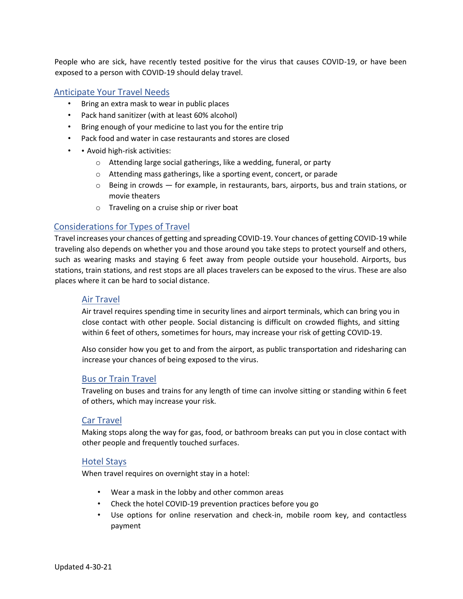People who are sick, have recently tested positive for the virus that causes COVID-19, or have been exposed to a person with COVID-19 should delay travel.

## Anticipate Your Travel Needs

- Bring an extra mask to wear in public places
- Pack hand sanitizer (with at least 60% alcohol)
- Bring enough of your medicine to last you for the entire trip
- Pack food and water in case restaurants and stores are closed
- • Avoid high-risk activities:
	- o Attending large social gatherings, like a wedding, funeral, or party
	- o Attending mass gatherings, like a sporting event, concert, or parade
	- $\circ$  Being in crowds  $-$  for example, in restaurants, bars, airports, bus and train stations, or movie theaters
	- o Traveling on a cruise ship or river boat

## Considerations for Types of Travel

Travel increases your chances of getting and spreading COVID-19. Your chances of getting COVID-19 while traveling also depends on whether you and those around you take steps to protect yourself and others, such as wearing masks and staying 6 feet away from people outside your household. Airports, bus stations, train stations, and rest stops are all places travelers can be exposed to the virus. These are also places where it can be hard to social distance.

#### Air Travel

Air travel requires spending time in security lines and airport terminals, which can bring you in close contact with other people. Social distancing is difficult on crowded flights, and sitting within 6 feet of others, sometimes for hours, may increase your risk of getting COVID-19.

Also consider how you get to and from the airport, as public transportation and ridesharing can increase your chances of being exposed to the virus.

#### Bus or Train Travel

Traveling on buses and trains for any length of time can involve sitting or standing within 6 feet of others, which may increase your risk.

## Car Travel

Making stops along the way for gas, food, or bathroom breaks can put you in close contact with other people and frequently touched surfaces.

## Hotel Stays

When travel requires on overnight stay in a hotel:

- Wear a mask in the lobby and other common areas
- Check the hotel COVID-19 prevention practices before you go
- Use options for online reservation and check-in, mobile room key, and contactless payment